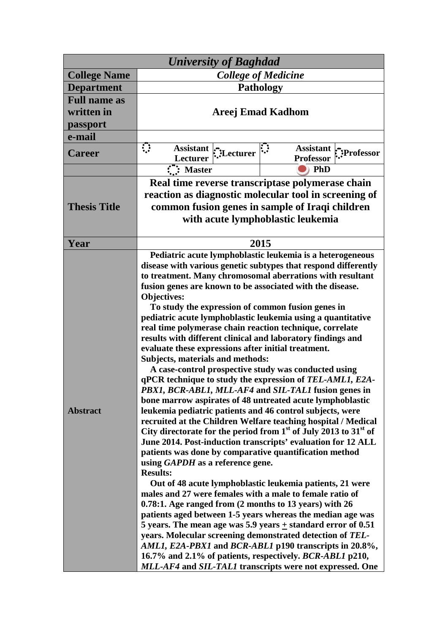| <b>University of Baghdad</b>                  |                                                                                                                                                                                                                                                                                                                                                                                                                                                                                                                                                                                                                                                                                                                                                                                                                                                                                                                                                                                                                                                                                                                                                                                                                                                                                                                                                                                                                                                                                                                                                                                                                                                                                                                                                                                                                                    |  |
|-----------------------------------------------|------------------------------------------------------------------------------------------------------------------------------------------------------------------------------------------------------------------------------------------------------------------------------------------------------------------------------------------------------------------------------------------------------------------------------------------------------------------------------------------------------------------------------------------------------------------------------------------------------------------------------------------------------------------------------------------------------------------------------------------------------------------------------------------------------------------------------------------------------------------------------------------------------------------------------------------------------------------------------------------------------------------------------------------------------------------------------------------------------------------------------------------------------------------------------------------------------------------------------------------------------------------------------------------------------------------------------------------------------------------------------------------------------------------------------------------------------------------------------------------------------------------------------------------------------------------------------------------------------------------------------------------------------------------------------------------------------------------------------------------------------------------------------------------------------------------------------------|--|
| <b>College Name</b>                           | <b>College of Medicine</b>                                                                                                                                                                                                                                                                                                                                                                                                                                                                                                                                                                                                                                                                                                                                                                                                                                                                                                                                                                                                                                                                                                                                                                                                                                                                                                                                                                                                                                                                                                                                                                                                                                                                                                                                                                                                         |  |
| <b>Department</b>                             | <b>Pathology</b>                                                                                                                                                                                                                                                                                                                                                                                                                                                                                                                                                                                                                                                                                                                                                                                                                                                                                                                                                                                                                                                                                                                                                                                                                                                                                                                                                                                                                                                                                                                                                                                                                                                                                                                                                                                                                   |  |
| <b>Full name as</b><br>written in<br>passport | <b>Areej Emad Kadhom</b>                                                                                                                                                                                                                                                                                                                                                                                                                                                                                                                                                                                                                                                                                                                                                                                                                                                                                                                                                                                                                                                                                                                                                                                                                                                                                                                                                                                                                                                                                                                                                                                                                                                                                                                                                                                                           |  |
| e-mail                                        |                                                                                                                                                                                                                                                                                                                                                                                                                                                                                                                                                                                                                                                                                                                                                                                                                                                                                                                                                                                                                                                                                                                                                                                                                                                                                                                                                                                                                                                                                                                                                                                                                                                                                                                                                                                                                                    |  |
| <b>Career</b>                                 | $\mathbf{C}$<br><b>Assistant</b><br><b>Assistant</b><br>Lecturer:<br>Professor:":<br><b>Lecturer</b><br><b>Professor</b>                                                                                                                                                                                                                                                                                                                                                                                                                                                                                                                                                                                                                                                                                                                                                                                                                                                                                                                                                                                                                                                                                                                                                                                                                                                                                                                                                                                                                                                                                                                                                                                                                                                                                                           |  |
|                                               | :": Master<br>PhD                                                                                                                                                                                                                                                                                                                                                                                                                                                                                                                                                                                                                                                                                                                                                                                                                                                                                                                                                                                                                                                                                                                                                                                                                                                                                                                                                                                                                                                                                                                                                                                                                                                                                                                                                                                                                  |  |
|                                               | Real time reverse transcriptase polymerase chain                                                                                                                                                                                                                                                                                                                                                                                                                                                                                                                                                                                                                                                                                                                                                                                                                                                                                                                                                                                                                                                                                                                                                                                                                                                                                                                                                                                                                                                                                                                                                                                                                                                                                                                                                                                   |  |
| <b>Thesis Title</b>                           | reaction as diagnostic molecular tool in screening of<br>common fusion genes in sample of Iraqi children<br>with acute lymphoblastic leukemia                                                                                                                                                                                                                                                                                                                                                                                                                                                                                                                                                                                                                                                                                                                                                                                                                                                                                                                                                                                                                                                                                                                                                                                                                                                                                                                                                                                                                                                                                                                                                                                                                                                                                      |  |
| Year                                          | 2015                                                                                                                                                                                                                                                                                                                                                                                                                                                                                                                                                                                                                                                                                                                                                                                                                                                                                                                                                                                                                                                                                                                                                                                                                                                                                                                                                                                                                                                                                                                                                                                                                                                                                                                                                                                                                               |  |
| <b>Abstract</b>                               | Pediatric acute lymphoblastic leukemia is a heterogeneous<br>disease with various genetic subtypes that respond differently<br>to treatment. Many chromosomal aberrations with resultant<br>fusion genes are known to be associated with the disease.<br><b>Objectives:</b><br>To study the expression of common fusion genes in<br>pediatric acute lymphoblastic leukemia using a quantitative<br>real time polymerase chain reaction technique, correlate<br>results with different clinical and laboratory findings and<br>evaluate these expressions after initial treatment.<br>Subjects, materials and methods:<br>A case-control prospective study was conducted using<br>qPCR technique to study the expression of TEL-AML1, E2A-<br>PBX1, BCR-ABL1, MLL-AF4 and SIL-TAL1 fusion genes in<br>bone marrow aspirates of 48 untreated acute lymphoblastic<br>leukemia pediatric patients and 46 control subjects, were<br>recruited at the Children Welfare teaching hospital / Medical<br>City directorate for the period from $1st$ of July 2013 to 31 <sup>st</sup> of<br>June 2014. Post-induction transcripts' evaluation for 12 ALL<br>patients was done by comparative quantification method<br>using GAPDH as a reference gene.<br><b>Results:</b><br>Out of 48 acute lymphoblastic leukemia patients, 21 were<br>males and 27 were females with a male to female ratio of<br>0.78:1. Age ranged from (2 months to 13 years) with 26<br>patients aged between 1-5 years whereas the median age was<br>5 years. The mean age was 5.9 years $\pm$ standard error of 0.51<br>years. Molecular screening demonstrated detection of TEL-<br>AML1, E2A-PBX1 and BCR-ABL1 p190 transcripts in 20.8%,<br>16.7% and 2.1% of patients, respectively. BCR-ABL1 p210,<br>MLL-AF4 and SIL-TAL1 transcripts were not expressed. One |  |